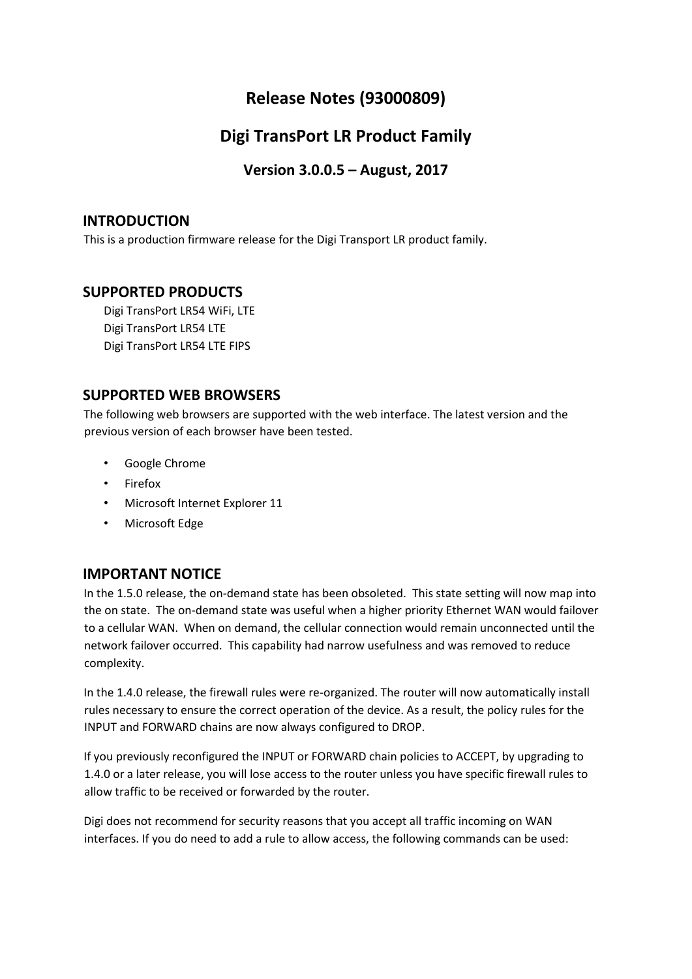# **Release Notes (93000809)**

# **Digi TransPort LR Product Family**

**Version 3.0.0.5 – August, 2017**

## **INTRODUCTION**

This is a production firmware release for the Digi Transport LR product family.

## **SUPPORTED PRODUCTS**

Digi TransPort LR54 WiFi, LTE Digi TransPort LR54 LTE Digi TransPort LR54 LTE FIPS

## **SUPPORTED WEB BROWSERS**

The following web browsers are supported with the web interface. The latest version and the previous version of each browser have been tested.

- Google Chrome
- Firefox
- Microsoft Internet Explorer 11
- Microsoft Edge

## **IMPORTANT NOTICE**

In the 1.5.0 release, the on-demand state has been obsoleted. This state setting will now map into the on state. The on-demand state was useful when a higher priority Ethernet WAN would failover to a cellular WAN. When on demand, the cellular connection would remain unconnected until the network failover occurred. This capability had narrow usefulness and was removed to reduce complexity.

In the 1.4.0 release, the firewall rules were re-organized. The router will now automatically install rules necessary to ensure the correct operation of the device. As a result, the policy rules for the INPUT and FORWARD chains are now always configured to DROP.

If you previously reconfigured the INPUT or FORWARD chain policies to ACCEPT, by upgrading to 1.4.0 or a later release, you will lose access to the router unless you have specific firewall rules to allow traffic to be received or forwarded by the router.

Digi does not recommend for security reasons that you accept all traffic incoming on WAN interfaces. If you do need to add a rule to allow access, the following commands can be used: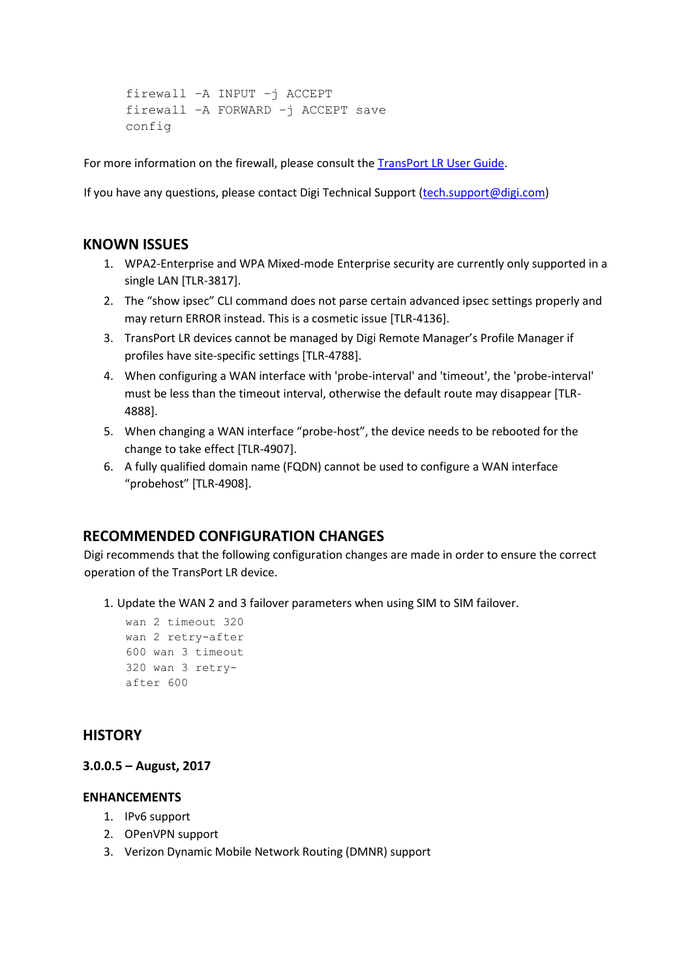```
firewall –A INPUT –j ACCEPT 
firewall –A FORWARD –j ACCEPT save 
config
```
For more information on the firewall, please consult the [TransPort LR User Guide.](https://www.digi.com/resources/documentation/Digidocs/90001461/Default.htm)

If you have any questions, please contact Digi Technical Support (tech.support@digi.com)

## **KNOWN ISSUES**

- 1. WPA2-Enterprise and WPA Mixed-mode Enterprise security are currently only supported in a single LAN [TLR-3817].
- 2. The "show ipsec" CLI command does not parse certain advanced ipsec settings properly and may return ERROR instead. This is a cosmetic issue [TLR-4136].
- 3. TransPort LR devices cannot be managed by Digi Remote Manager's Profile Manager if profiles have site-specific settings [TLR-4788].
- 4. When configuring a WAN interface with 'probe-interval' and 'timeout', the 'probe-interval' must be less than the timeout interval, otherwise the default route may disappear [TLR-4888].
- 5. When changing a WAN interface "probe-host", the device needs to be rebooted for the change to take effect [TLR-4907].
- 6. A fully qualified domain name (FQDN) cannot be used to configure a WAN interface "probehost" [TLR-4908].

## **RECOMMENDED CONFIGURATION CHANGES**

Digi recommends that the following configuration changes are made in order to ensure the correct operation of the TransPort LR device.

1. Update the WAN 2 and 3 failover parameters when using SIM to SIM failover.

```
wan 2 timeout 320 
wan 2 retry-after 
600 wan 3 timeout 
320 wan 3 retry-
after 600
```
## **HISTORY**

### **3.0.0.5 – August, 2017**

## **ENHANCEMENTS**

- 1. IPv6 support
- 2. OPenVPN support
- 3. Verizon Dynamic Mobile Network Routing (DMNR) support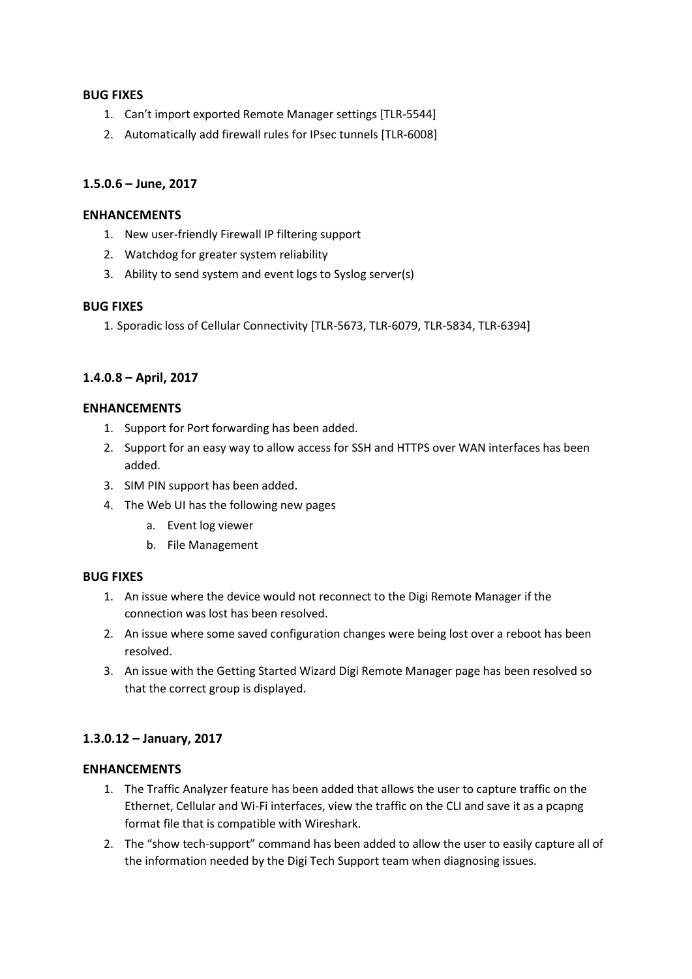## **BUG FIXES**

- 1. Can't import exported Remote Manager settings [TLR-5544]
- 2. Automatically add firewall rules for IPsec tunnels [TLR-6008]

## **1.5.0.6 – June, 2017**

### **ENHANCEMENTS**

- 1. New user-friendly Firewall IP filtering support
- 2. Watchdog for greater system reliability
- 3. Ability to send system and event logs to Syslog server(s)

### **BUG FIXES**

1. Sporadic loss of Cellular Connectivity [TLR-5673, TLR-6079, TLR-5834, TLR-6394]

## **1.4.0.8 – April, 2017**

### **ENHANCEMENTS**

- 1. Support for Port forwarding has been added.
- 2. Support for an easy way to allow access for SSH and HTTPS over WAN interfaces has been added.
- 3. SIM PIN support has been added.
- 4. The Web UI has the following new pages
	- a. Event log viewer
	- b. File Management

### **BUG FIXES**

- 1. An issue where the device would not reconnect to the Digi Remote Manager if the connection was lost has been resolved.
- 2. An issue where some saved configuration changes were being lost over a reboot has been resolved.
- 3. An issue with the Getting Started Wizard Digi Remote Manager page has been resolved so that the correct group is displayed.

## **1.3.0.12 – January, 2017**

### **ENHANCEMENTS**

- 1. The Traffic Analyzer feature has been added that allows the user to capture traffic on the Ethernet, Cellular and Wi-Fi interfaces, view the traffic on the CLI and save it as a pcapng format file that is compatible with Wireshark.
- 2. The "show tech-support" command has been added to allow the user to easily capture all of the information needed by the Digi Tech Support team when diagnosing issues.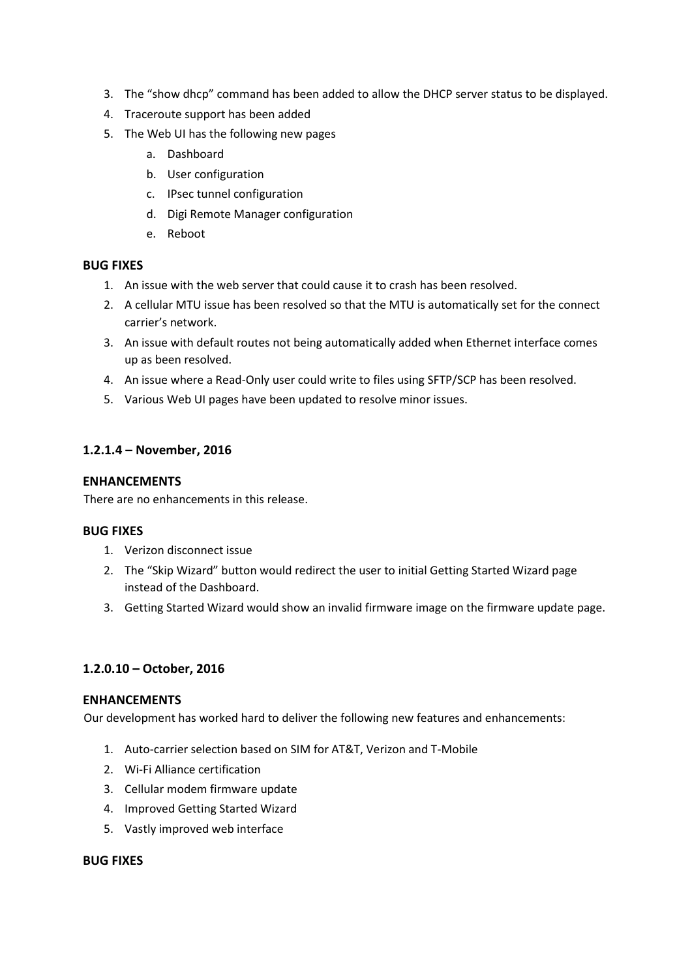- 3. The "show dhcp" command has been added to allow the DHCP server status to be displayed.
- 4. Traceroute support has been added
- 5. The Web UI has the following new pages
	- a. Dashboard
	- b. User configuration
	- c. IPsec tunnel configuration
	- d. Digi Remote Manager configuration
	- e. Reboot

### **BUG FIXES**

- 1. An issue with the web server that could cause it to crash has been resolved.
- 2. A cellular MTU issue has been resolved so that the MTU is automatically set for the connect carrier's network.
- 3. An issue with default routes not being automatically added when Ethernet interface comes up as been resolved.
- 4. An issue where a Read-Only user could write to files using SFTP/SCP has been resolved.
- 5. Various Web UI pages have been updated to resolve minor issues.

## **1.2.1.4 – November, 2016**

### **ENHANCEMENTS**

There are no enhancements in this release.

### **BUG FIXES**

- 1. Verizon disconnect issue
- 2. The "Skip Wizard" button would redirect the user to initial Getting Started Wizard page instead of the Dashboard.
- 3. Getting Started Wizard would show an invalid firmware image on the firmware update page.

## **1.2.0.10 – October, 2016**

### **ENHANCEMENTS**

Our development has worked hard to deliver the following new features and enhancements:

- 1. Auto-carrier selection based on SIM for AT&T, Verizon and T-Mobile
- 2. Wi-Fi Alliance certification
- 3. Cellular modem firmware update
- 4. Improved Getting Started Wizard
- 5. Vastly improved web interface

### **BUG FIXES**